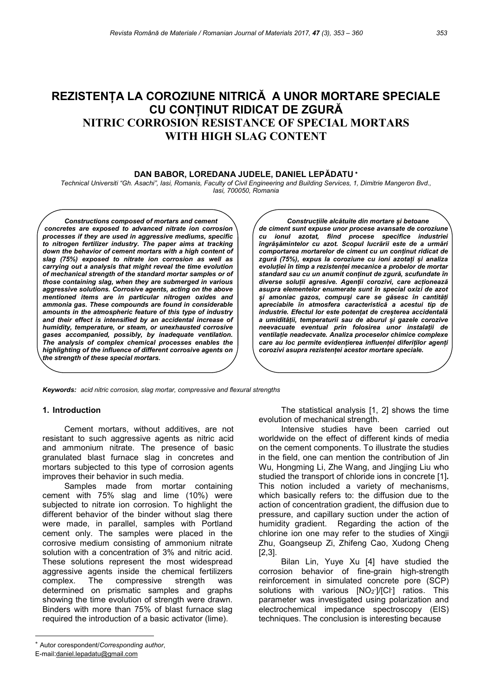# REZISTENȚA LA COROZIUNE NITRICĂ A UNOR MORTARE SPECIALE CU CONȚINUT RIDICAT DE ZGURĂ NITRIC CORROSION RESISTANCE OF SPECIAL MORTARS WITH HIGH SLAG CONTENT

## DAN BABOR, LOREDANA JUDELE, DANIEL LEPĂDATU

Technical Universiti "Gh. Asachi", Iasi, Romanis, Faculty of Civil Engineering and Building Services, 1, Dimitrie Mangeron Bvd., Iasi, 700050, Romania

Constructions composed of mortars and cement concretes are exposed to advanced nitrate ion corrosion processes if they are used in aggressive mediums, specific to nitrogen fertilizer industry. The paper aims at tracking down the behavior of cement mortars with a high content of slag (75%) exposed to nitrate ion corrosion as well as carrying out a analysis that might reveal the time evolution of mechanical strength of the standard mortar samples or of those containing slag, when they are submerged in various aggressive solutions. Corrosive agents, acting on the above mentioned items are in particular nitrogen oxides and ammonia gas. These compounds are found in considerable amounts in the atmospheric feature of this type of industry and their effect is intensified by an accidental increase of humidity, temperature, or steam, or unexhausted corrosive gases accompanied, possibly, by inadequate ventilation. The analysis of complex chemical processes enables the highlighting of the influence of different corrosive agents on the strength of these special mortars.

Construcțiile alcătuite din mortare și betoane de ciment sunt expuse unor procese avansate de coroziune cu ionul azotat, fiind procese specifice industriei îngrășămintelor cu azot. Scopul lucrării este de a urmări comportarea mortarelor de ciment cu un conținut ridicat de zgură (75%), expus la coroziune cu ioni azotați și analiza evoluției în timp a rezistenței mecanice a probelor de mortar standard sau cu un anumit conținut de zgură, scufundate în diverse soluții agresive. Agenții corozivi, care acționează asupra elementelor enumerate sunt în special oxizi de azot și amoniac gazos, compuși care se găsesc în cantități apreciabile în atmosfera caracteristică a acestui tip de industrie. Efectul lor este potențat de creșterea accidentală a umidității, temperaturii sau de aburul și gazele corozive neevacuate eventual prin folosirea unor instalații de ventilație neadecvate. Analiza proceselor chimice complexe care au loc permite evidențierea influenței diferiților agenți corozivi asupra rezistenței acestor mortare speciale.

Keywords: acid nitric corrosion, slag mortar, compressive and flexural strengths

#### 1. Introduction

Cement mortars, without additives, are not resistant to such aggressive agents as nitric acid and ammonium nitrate. The presence of basic granulated blast furnace slag in concretes and mortars subjected to this type of corrosion agents improves their behavior in such media.

Samples made from mortar containing cement with 75% slag and lime (10%) were subjected to nitrate ion corrosion. To highlight the different behavior of the binder without slag there were made, in parallel, samples with Portland cement only. The samples were placed in the corrosive medium consisting of ammonium nitrate solution with a concentration of 3% and nitric acid. These solutions represent the most widespread aggressive agents inside the chemical fertilizers complex. The compressive strength was determined on prismatic samples and graphs showing the time evolution of strength were drawn. Binders with more than 75% of blast furnace slag required the introduction of a basic activator (lime).

E-mail:daniel.lepadatu@gmail.com

 The statistical analysis [1, 2] shows the time evolution of mechanical strength.

Intensive studies have been carried out worldwide on the effect of different kinds of media on the cement components. To illustrate the studies in the field, one can mention the contribution of Jin Wu, Hongming Li, Zhe Wang, and Jingjing Liu who studied the transport of chloride ions in concrete [1]. This notion included a variety of mechanisms, which basically refers to: the diffusion due to the action of concentration gradient, the diffusion due to pressure, and capillary suction under the action of humidity gradient. Regarding the action of the chlorine ion one may refer to the studies of Xingji Zhu, Goangseup Zi, Zhifeng Cao, Xudong Cheng [2,3].

Bilan Lin, Yuye Xu [4] have studied the corrosion behavior of fine-grain high-strength reinforcement in simulated concrete pore (SCP) solutions with various  $[NO<sub>2</sub>]/[Cl<sub>1</sub>]$  ratios. This parameter was investigated using polarization and electrochemical impedance spectroscopy (EIS) techniques. The conclusion is interesting because

Autor corespondent/Corresponding author,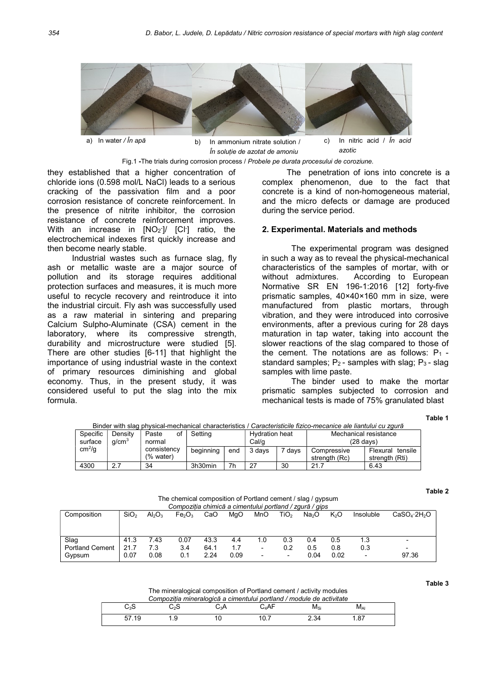

În soluție de azotat de amoniu azotic

Fig.1 -The trials during corrosion process / Probele pe durata procesului de coroziune.

they established that a higher concentration of chloride ions (0.598 mol/L NaCl) leads to a serious cracking of the passivation film and a poor corrosion resistance of concrete reinforcement. In the presence of nitrite inhibitor, the corrosion resistance of concrete reinforcement improves. With an increase in  $[NO_2^-]/ [Cl^-]$  ratio, the electrochemical indexes first quickly increase and then become nearly stable.

Industrial wastes such as furnace slag, fly ash or metallic waste are a major source of pollution and its storage requires additional protection surfaces and measures, it is much more useful to recycle recovery and reintroduce it into the industrial circuit. Fly ash was successfully used as a raw material in sintering and preparing Calcium Sulpho-Aluminate (CSA) cement in the laboratory, where its compressive strength, durability and microstructure were studied [5]. There are other studies [6-11] that highlight the importance of using industrial waste in the context of primary resources diminishing and global economy. Thus, in the present study, it was considered useful to put the slag into the mix formula.

The penetration of ions into concrete is a complex phenomenon, due to the fact that concrete is a kind of non-homogeneous material, and the micro defects or damage are produced during the service period.

#### 2. Experimental. Materials and methods

The experimental program was designed in such a way as to reveal the physical-mechanical characteristics of the samples of mortar, with or without admixtures. According to European Normative SR EN 196-1:2016 [12] forty-five prismatic samples, 40×40×160 mm in size, were manufactured from plastic mortars, through vibration, and they were introduced into corrosive environments, after a previous curing for 28 days maturation in tap water, taking into account the slower reactions of the slag compared to those of the cement. The notations are as follows:  $P_1$  standard samples;  $P_2$ - samples with slag;  $P_3$ - slag samples with lime paste.

The binder used to make the mortar prismatic samples subjected to corrosion and mechanical tests is made of 75% granulated blast

Table 1

| Specific           | Density           | of<br>Paste              | Setting   |     | <b>Hydration heat</b> |                   | Mechanical resistance        |                                       |  |  |  |
|--------------------|-------------------|--------------------------|-----------|-----|-----------------------|-------------------|------------------------------|---------------------------------------|--|--|--|
| surface            | q/cm <sup>3</sup> | normal                   |           |     | Cal/q                 |                   | $(28$ davs)                  |                                       |  |  |  |
| cm <sup>2</sup> /q |                   | consistency<br>(% water) | beginning | end | 3 days                | <sup>7</sup> davs | Compressive<br>strength (Rc) | Flexural<br>tensile<br>strength (Rti) |  |  |  |
| 4300               | 2.1               | 34                       | 3h30min   | 7h  | -27                   | 30                | 21.7                         | 6.43                                  |  |  |  |

Binder with slag physical-mechanical characteristics / Caracteristicile fizico-mecanice ale liantului cu zgură

Table 2

Table 3

The chemical composition of Portland cement / slag / gypsum Compoziția chimică a cimentului portland / zgură / gips

| Composition            | SiO <sub>2</sub> | $Al_2O_3$ | Fe <sub>2</sub> O <sub>3</sub> | CaO  | MqO  | MnO | TiO <sub>2</sub>         | Na <sub>2</sub> O | K <sub>2</sub> O | Insoluble                | CaSO <sub>A</sub> ·2H <sub>2</sub> O |
|------------------------|------------------|-----------|--------------------------------|------|------|-----|--------------------------|-------------------|------------------|--------------------------|--------------------------------------|
|                        |                  |           |                                |      |      |     |                          |                   |                  |                          |                                      |
| Slag                   | 41.3             | 7.43      | 0.07                           | 43.3 | 4.4  | 1.0 | 0.3                      | 0.4               | 0.5              | 1.3                      | $\overline{\phantom{0}}$             |
| <b>Portland Cement</b> | 21.7             | 7.3       | 3.4                            | 64.1 |      | -   | 0.2                      | 0.5               | 0.8              | 0.3                      | $\overline{\phantom{0}}$             |
| Gypsum                 | 0.07             | 0.08      | 0.1                            | 2.24 | 0.09 | -   | $\overline{\phantom{0}}$ | 0.04              | 0.02             | $\overline{\phantom{a}}$ | 97.36                                |

The mineralogical composition of Portland cement / activity modules

|                          | Compozitia mineralogică a cimentului portland / module de activitate |     |      |      |          |  |
|--------------------------|----------------------------------------------------------------------|-----|------|------|----------|--|
| $\mathrm{C}_3\mathrm{S}$ | C›S                                                                  | С.А | C⊿AF | Msi  | $M_{Al}$ |  |
| 57.19                    |                                                                      |     |      | 2.34 | .87      |  |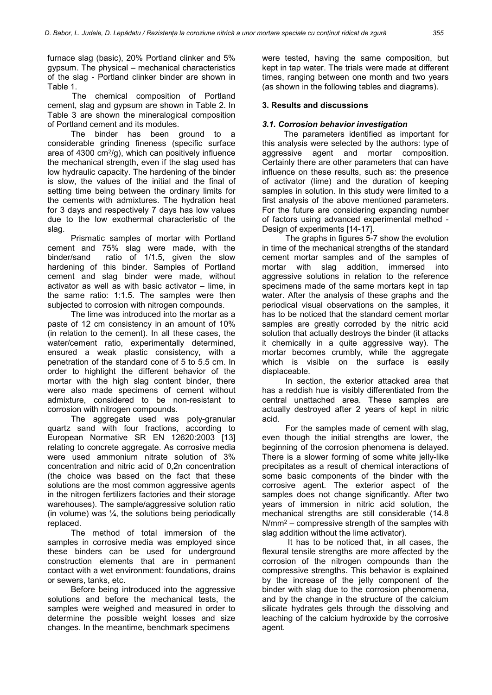furnace slag (basic), 20% Portland clinker and 5% gypsum. The physical – mechanical characteristics of the slag - Portland clinker binder are shown in Table 1.

The chemical composition of Portland cement, slag and gypsum are shown in Table 2. In Table 3 are shown the mineralogical composition of Portland cement and its modules.

The binder has been ground to a considerable grinding fineness (specific surface area of 4300 cm $^{2}$ /g), which can positively influence the mechanical strength, even if the slag used has low hydraulic capacity. The hardening of the binder is slow, the values of the initial and the final of setting time being between the ordinary limits for the cements with admixtures. The hydration heat for 3 days and respectively 7 days has low values due to the low exothermal characteristic of the slag.

Prismatic samples of mortar with Portland cement and 75% slag were made, with the binder/sand ratio of 1/1.5, given the slow hardening of this binder. Samples of Portland cement and slag binder were made, without activator as well as with basic activator – lime, in the same ratio: 1:1.5. The samples were then subjected to corrosion with nitrogen compounds.

The lime was introduced into the mortar as a paste of 12 cm consistency in an amount of 10% (in relation to the cement). In all these cases, the water/cement ratio, experimentally determined, ensured a weak plastic consistency, with a penetration of the standard cone of 5 to 5.5 cm. In order to highlight the different behavior of the mortar with the high slag content binder, there were also made specimens of cement without admixture, considered to be non-resistant to corrosion with nitrogen compounds.

The aggregate used was poly-granular quartz sand with four fractions, according to European Normative SR EN 12620:2003 [13] relating to concrete aggregate. As corrosive media were used ammonium nitrate solution of 3% concentration and nitric acid of 0,2n concentration (the choice was based on the fact that these solutions are the most common aggressive agents in the nitrogen fertilizers factories and their storage warehouses). The sample/aggressive solution ratio (in volume) was  $\frac{1}{4}$ , the solutions being periodically replaced.

The method of total immersion of the samples in corrosive media was employed since these binders can be used for underground construction elements that are in permanent contact with a wet environment: foundations, drains or sewers, tanks, etc.

Before being introduced into the aggressive solutions and before the mechanical tests, the samples were weighed and measured in order to determine the possible weight losses and size changes. In the meantime, benchmark specimens

were tested, having the same composition, but kept in tap water. The trials were made at different times, ranging between one month and two years (as shown in the following tables and diagrams).

## 3. Results and discussions

#### 3.1. Corrosion behavior investigation

 The parameters identified as important for this analysis were selected by the authors: type of aggressive agent and mortar composition. Certainly there are other parameters that can have influence on these results, such as: the presence of activator (lime) and the duration of keeping samples in solution. In this study were limited to a first analysis of the above mentioned parameters. For the future are considering expanding number of factors using advanced experimental method - Design of experiments [14-17].

The graphs in figures 5-7 show the evolution in time of the mechanical strengths of the standard cement mortar samples and of the samples of mortar with slag addition, immersed into aggressive solutions in relation to the reference specimens made of the same mortars kept in tap water. After the analysis of these graphs and the periodical visual observations on the samples, it has to be noticed that the standard cement mortar samples are greatly corroded by the nitric acid solution that actually destroys the binder (it attacks it chemically in a quite aggressive way). The mortar becomes crumbly, while the aggregate which is visible on the surface is easily displaceable.

In section, the exterior attacked area that has a reddish hue is visibly differentiated from the central unattached area. These samples are actually destroyed after 2 years of kept in nitric acid.

For the samples made of cement with slag, even though the initial strengths are lower, the beginning of the corrosion phenomena is delayed. There is a slower forming of some white jelly-like precipitates as a result of chemical interactions of some basic components of the binder with the corrosive agent. The exterior aspect of the samples does not change significantly. After two years of immersion in nitric acid solution, the mechanical strengths are still considerable (14.8  $N/mm<sup>2</sup> - compressive strength of the samples with$ slag addition without the lime activator).

 It has to be noticed that, in all cases, the flexural tensile strengths are more affected by the corrosion of the nitrogen compounds than the compressive strengths. This behavior is explained by the increase of the jelly component of the binder with slag due to the corrosion phenomena, and by the change in the structure of the calcium silicate hydrates gels through the dissolving and leaching of the calcium hydroxide by the corrosive agent.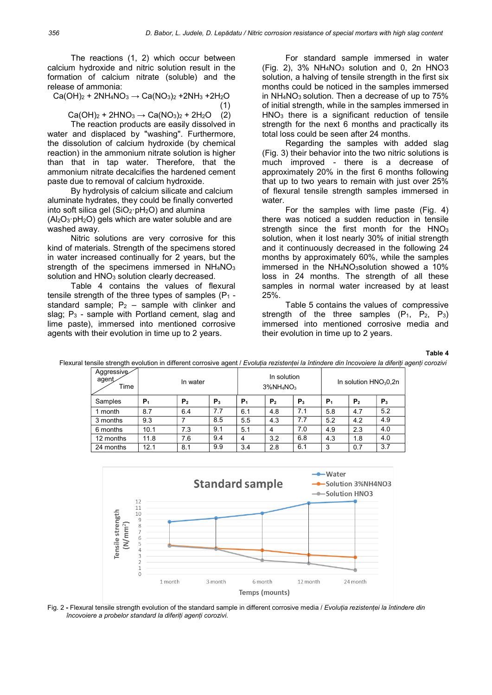The reactions (1, 2) which occur between calcium hydroxide and nitric solution result in the formation of calcium nitrate (soluble) and the release of ammonia:

 $Ca(OH)_2 + 2NH_4NO_3 \rightarrow Ca(NO_3)_2 + 2NH_3 + 2H_2O$  $(1)$ 

 $Ca(OH)_2 + 2HNO_3 \rightarrow Ca(NO_3)_2 + 2H_2O$  (2)

The reaction products are easily dissolved in water and displaced by "washing". Furthermore, the dissolution of calcium hydroxide (by chemical reaction) in the ammonium nitrate solution is higher than that in tap water. Therefore, that the ammonium nitrate decalcifies the hardened cement paste due to removal of calcium hydroxide.

By hydrolysis of calcium silicate and calcium aluminate hydrates, they could be finally converted into soft silica gel ( $SiO<sub>2</sub>·pH<sub>2</sub>O$ ) and alumina

 $(Al_2O_3 \cdot pH_2O)$  gels which are water soluble and are washed away.

Nitric solutions are very corrosive for this kind of materials. Strength of the specimens stored in water increased continually for 2 years, but the strength of the specimens immersed in  $NH<sub>4</sub>NO<sub>3</sub>$ solution and HNO<sub>3</sub> solution clearly decreased.

Table 4 contains the values of flexural tensile strength of the three types of samples  $(P_1 - P_2)$ standard sample;  $P_2$  – sample with clinker and slag;  $P_3$  - sample with Portland cement, slag and lime paste), immersed into mentioned corrosive agents with their evolution in time up to 2 years.

For standard sample immersed in water  $(Fiq. 2)$ , 3% NH<sub>4</sub>NO<sub>3</sub> solution and 0, 2n HNO3 solution, a halving of tensile strength in the first six months could be noticed in the samples immersed in  $NH<sub>4</sub>NO<sub>3</sub>$  solution. Then a decrease of up to  $75\%$ of initial strength, while in the samples immersed in HNO3 there is a significant reduction of tensile strength for the next 6 months and practically its total loss could be seen after 24 months.

Regarding the samples with added slag (Fig. 3) their behavior into the two nitric solutions is much improved - there is a decrease of approximately 20% in the first 6 months following that up to two years to remain with just over 25% of flexural tensile strength samples immersed in water.

For the samples with lime paste (Fig. 4) there was noticed a sudden reduction in tensile strength since the first month for the  $HNO<sub>3</sub>$ solution, when it lost nearly 30% of initial strength and it continuously decreased in the following 24 months by approximately 60%, while the samples immersed in the NH<sub>4</sub>NO<sub>3</sub>solution showed a 10% loss in 24 months. The strength of all these samples in normal water increased by at least 25%.

Table 5 contains the values of compressive strength of the three samples  $(P_1, P_2, P_3)$ immersed into mentioned corrosive media and their evolution in time up to 2 years.

Table 4

| Aggressive<br>agent<br>Time | In water |                |       |       | In solution<br>$3\%NH_4NO_3$ |       |                | In solution $HNO3O, 2n$ |       |  |  |
|-----------------------------|----------|----------------|-------|-------|------------------------------|-------|----------------|-------------------------|-------|--|--|
| Samples                     | P,       | P <sub>2</sub> | $P_3$ | $P_1$ | P <sub>2</sub>               | $P_3$ | P <sub>1</sub> | P <sub>2</sub>          | $P_3$ |  |  |
| month                       | 8.7      | 6.4            | 7.7   | 6.1   | 4.8                          | 7.1   | 5.8            | 4.7                     | 5.2   |  |  |
| 3 months                    | 9.3      |                | 8.5   | 5.5   | 4.3                          | 7.7   | 5.2            | 4.2                     | 4.9   |  |  |
| 6 months                    | 10.1     | 7.3            | 9.1   | 5.1   | 4                            | 7.0   | 4.9            | 2.3                     | 4.0   |  |  |
| 12 months                   | 11.8     | 7.6            | 9.4   | 4     | 3.2                          | 6.8   | 4.3            | 1.8                     | 4.0   |  |  |
| 24 months                   | 12.1     | 8.1            | 9.9   | 3.4   | 2.8                          | 6.1   | 3              | 0.7                     | 3.7   |  |  |

Flexural tensile strength evolution in different corrosive agent / Evoluția rezistenței la întindere din încovoiere la diferiți agenți corozivi



Fig. 2 - Flexural tensile strength evolution of the standard sample in different corrosive media / Evoluția rezistenței la întindere din încovoiere a probelor standard la diferiți agenți corozivi.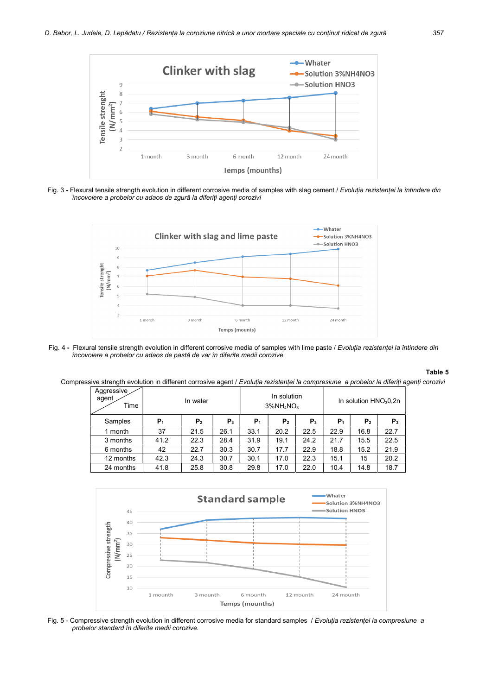

Fig. 3 - Flexural tensile strength evolution in different corrosive media of samples with slag cement / Evoluția rezistenței la întindere din încovoiere a probelor cu adaos de zgură la diferiți agenți corozivi



Fig. 4 - Flexural tensile strength evolution in different corrosive media of samples with lime paste / Evolutia rezistenței la întindere din încovoiere a probelor cu adaos de pastă de var în diferite medii corozive.

#### Table 5

Compressive strength evolution in different corrosive agent / Evoluția rezistenței la compresiune a probelor la diferiți agenți corozivi

| Aggressive<br>agent<br>Time |       | In water       |       |                | In solution<br>$3\%$ NH <sub>4</sub> NO <sub>3</sub> |       | In solution $HNO3O32n$ |                |       |  |
|-----------------------------|-------|----------------|-------|----------------|------------------------------------------------------|-------|------------------------|----------------|-------|--|
| Samples                     | $P_1$ | P <sub>2</sub> | $P_3$ | P <sub>1</sub> | P <sub>2</sub>                                       | $P_3$ | $P_1$                  | P <sub>2</sub> | $P_3$ |  |
| 1 month                     | 37    | 21.5           | 26.1  | 33.1           | 20.2                                                 | 22.5  | 22.9                   | 16.8           | 22.7  |  |
| 3 months                    | 41.2  | 22.3           | 28.4  | 31.9           | 19.1                                                 | 24.2  | 21.7                   | 15.5           | 22.5  |  |
| 6 months                    | 42    | 22.7           | 30.3  | 30.7           | 17.7                                                 | 22.9  | 18.8                   | 15.2           | 21.9  |  |
| 12 months                   | 42.3  | 24.3           | 30.7  | 30.1           | 17.0                                                 | 22.3  | 15.1                   | 15             | 20.2  |  |
| 24 months                   | 41.8  | 25.8           | 30.8  | 29.8           | 17.0                                                 | 22.0  | 10.4                   | 14.8           | 18.7  |  |



Fig. 5 - Compressive strength evolution in different corrosive media for standard samples / Evoluția rezistenței la compresiune a probelor standard în diferite medii corozive.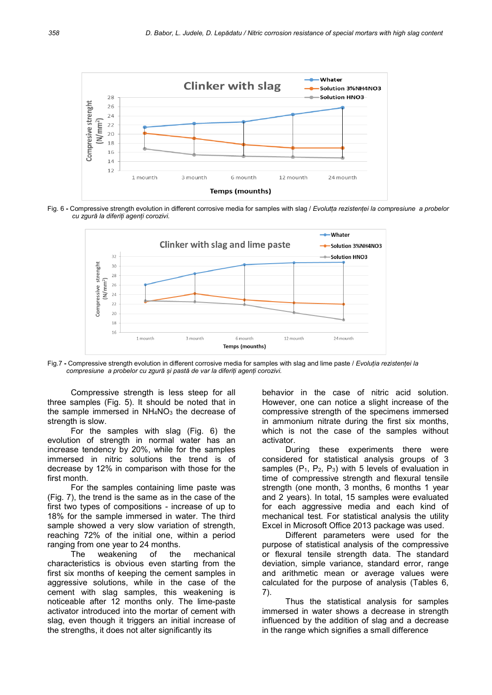

Fig. 6 - Compressive strength evolution in different corrosive media for samples with slag / Evolutta rezistenței la compresiune a probelor cu zgură la diferiți agenți corozivi.



Fig.7 - Compressive strength evolution in different corrosive media for samples with slag and lime paste / Evoluția rezistenței la compresiune a probelor cu zgură și pastă de var la diferiți agenți corozivi.

Compressive strength is less steep for all three samples (Fig. 5). It should be noted that in the sample immersed in  $NH<sub>4</sub>NO<sub>3</sub>$  the decrease of strength is slow.

For the samples with slag (Fig. 6) the evolution of strength in normal water has an increase tendency by 20%, while for the samples immersed in nitric solutions the trend is of decrease by 12% in comparison with those for the first month.

For the samples containing lime paste was (Fig. 7), the trend is the same as in the case of the first two types of compositions - increase of up to 18% for the sample immersed in water. The third sample showed a very slow variation of strength, reaching 72% of the initial one, within a period ranging from one year to 24 months.

The weakening of the mechanical characteristics is obvious even starting from the first six months of keeping the cement samples in aggressive solutions, while in the case of the cement with slag samples, this weakening is noticeable after 12 months only. The lime-paste activator introduced into the mortar of cement with slag, even though it triggers an initial increase of the strengths, it does not alter significantly its

behavior in the case of nitric acid solution. However, one can notice a slight increase of the compressive strength of the specimens immersed in ammonium nitrate during the first six months, which is not the case of the samples without activator.

During these experiments there were considered for statistical analysis groups of 3 samples  $(P_1, P_2, P_3)$  with 5 levels of evaluation in time of compressive strength and flexural tensile strength (one month, 3 months, 6 months 1 year and 2 years). In total, 15 samples were evaluated for each aggressive media and each kind of mechanical test. For statistical analysis the utility Excel in Microsoft Office 2013 package was used.

Different parameters were used for the purpose of statistical analysis of the compressive or flexural tensile strength data. The standard deviation, simple variance, standard error, range and arithmetic mean or average values were calculated for the purpose of analysis (Tables 6, 7).

Thus the statistical analysis for samples immersed in water shows a decrease in strength influenced by the addition of slag and a decrease in the range which signifies a small difference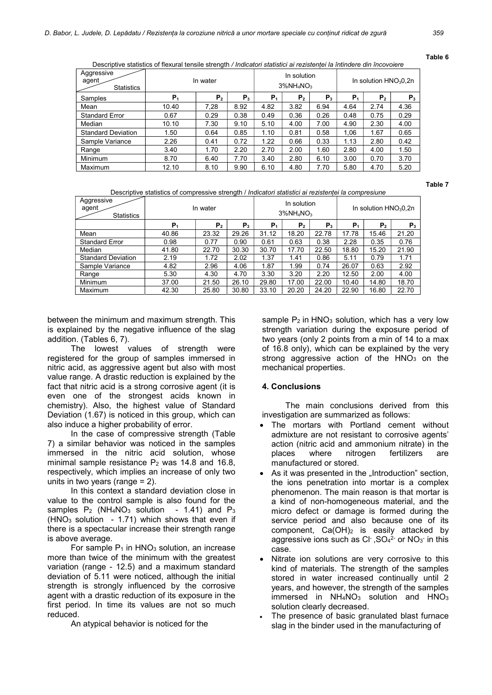Table 6

Table 7

| Descriptive statistics of flexural tensile strength / Indicatori statistici ai rezistentei la întindere din încovoiere |  |
|------------------------------------------------------------------------------------------------------------------------|--|
|------------------------------------------------------------------------------------------------------------------------|--|

| Aggressive<br>agent<br><b>Statistics</b> |                | In water |         |                | In solution<br>$3\%$ NH <sub>4</sub> NO <sub>3</sub> |         | In solution $HNO3O.2n$ |      |       |
|------------------------------------------|----------------|----------|---------|----------------|------------------------------------------------------|---------|------------------------|------|-------|
| Samples                                  | P <sub>1</sub> | Р,       | $P_{3}$ | P <sub>1</sub> | Р,                                                   | $P_{3}$ | P,                     | Р,   | $P_3$ |
| Mean                                     | 10.40          | 7.28     | 8.92    | 4.82           | 3.82                                                 | 6.94    | 4.64                   | 2.74 | 4.36  |
| <b>Standard Error</b>                    | 0.67           | 0.29     | 0.38    | 0.49           | 0.36                                                 | 0.26    | 0.48                   | 0.75 | 0.29  |
| Median                                   | 10.10          | 7.30     | 9.10    | 5.10           | 4.00                                                 | 7.00    | 4.90                   | 2.30 | 4.00  |
| <b>Standard Deviation</b>                | 1.50           | 0.64     | 0.85    | 1.10           | 0.81                                                 | 0.58    | 1.06                   | 1.67 | 0.65  |
| Sample Variance                          | 2.26           | 0.41     | 0.72    | 1.22           | 0.66                                                 | 0.33    | 1.13                   | 2.80 | 0.42  |
| Range                                    | 3.40           | 1.70     | 2.20    | 2.70           | 2.00                                                 | 1.60    | 2.80                   | 4.00 | 1.50  |
| Minimum                                  | 8.70           | 6.40     | 7.70    | 3.40           | 2.80                                                 | 6.10    | 3.00                   | 0.70 | 3.70  |
| Maximum                                  | 12.10          | 8.10     | 9.90    | 6.10           | 4.80                                                 | 7.70    | 5.80                   | 4.70 | 5.20  |

Descriptive statistics of compressive strength / Indicatori statistici ai rezistenței la compresiune

| Aggressive<br>agent<br><b>Statistics</b> | In water       |                |       | In solution<br>$3\%NH_4NO_3$ |                |         | In solution $HNO3O, 2n$ |       |       |  |
|------------------------------------------|----------------|----------------|-------|------------------------------|----------------|---------|-------------------------|-------|-------|--|
|                                          | P <sub>1</sub> | P <sub>2</sub> | $P_3$ | P,                           | P <sub>2</sub> | $P_{3}$ | Р,                      | Р,    | $P_3$ |  |
| Mean                                     | 40.86          | 23.32          | 29.26 | 31.12                        | 18.20          | 22.78   | 17.78                   | 15.46 | 21.20 |  |
| <b>Standard Error</b>                    | 0.98           | 0.77           | 0.90  | 0.61                         | 0.63           | 0.38    | 2.28                    | 0.35  | 0.76  |  |
| Median                                   | 41.80          | 22.70          | 30.30 | 30.70                        | 17.70          | 22.50   | 18.80                   | 15.20 | 21.90 |  |
| <b>Standard Deviation</b>                | 2.19           | 1.72           | 2.02  | 1.37                         | 1.41           | 0.86    | 5.11                    | 0.79  | 1.71  |  |
| Sample Variance                          | 4.82           | 2.96           | 4.06  | 1.87                         | 1.99           | 0.74    | 26.07                   | 0.63  | 2.92  |  |
| Range                                    | 5.30           | 4.30           | 4.70  | 3.30                         | 3.20           | 2.20    | 12.50                   | 2.00  | 4.00  |  |
| <b>Minimum</b>                           | 37.00          | 21.50          | 26.10 | 29.80                        | 17.00          | 22.00   | 10.40                   | 14.80 | 18.70 |  |
| Maximum                                  | 42.30          | 25.80          | 30.80 | 33.10                        | 20.20          | 24.20   | 22.90                   | 16.80 | 22.70 |  |

between the minimum and maximum strength. This is explained by the negative influence of the slag addition. (Tables 6, 7).

The lowest values of strength were registered for the group of samples immersed in nitric acid, as aggressive agent but also with most value range. A drastic reduction is explained by the fact that nitric acid is a strong corrosive agent (it is even one of the strongest acids known in chemistry). Also, the highest value of Standard Deviation (1.67) is noticed in this group, which can also induce a higher probability of error.

In the case of compressive strength (Table 7) a similar behavior was noticed in the samples immersed in the nitric acid solution, whose minimal sample resistance  $P_2$  was 14.8 and 16.8, respectively, which implies an increase of only two units in two years (range  $= 2$ ).

In this context a standard deviation close in value to the control sample is also found for the samples  $P_2$  (NH<sub>4</sub>NO<sub>3</sub> solution - 1.41) and  $P_3$  $(HNO<sub>3</sub>$  solution - 1.71) which shows that even if there is a spectacular increase their strength range is above average.

For sample  $P_1$  in HNO<sub>3</sub> solution, an increase more than twice of the minimum with the greatest variation (range - 12.5) and a maximum standard deviation of 5.11 were noticed, although the initial strength is strongly influenced by the corrosive agent with a drastic reduction of its exposure in the first period. In time its values are not so much reduced.

An atypical behavior is noticed for the

sample  $P_2$  in HNO<sub>3</sub> solution, which has a very low strength variation during the exposure period of two years (only 2 points from a min of 14 to a max of 16.8 only), which can be explained by the very strong aggressive action of the  $HNO<sub>3</sub>$  on the mechanical properties.

## 4. Conclusions

The main conclusions derived from this investigation are summarized as follows:

- The mortars with Portland cement without admixture are not resistant to corrosive agents' action (nitric acid and ammonium nitrate) in the places where nitrogen fertilizers are manufactured or stored.
- As it was presented in the "Introduction" section, the ions penetration into mortar is a complex phenomenon. The main reason is that mortar is a kind of non-homogeneous material, and the micro defect or damage is formed during the service period and also because one of its component,  $Ca(OH)_2$  is easily attacked by aggressive ions such as  $Cl<sup>+</sup>$ ,  $SO<sub>4</sub><sup>2-</sup>$  or  $NO<sub>3</sub><sup>-</sup>$  in this case.
- Nitrate ion solutions are very corrosive to this kind of materials. The strength of the samples stored in water increased continually until 2 years, and however, the strength of the samples  $immered$  in  $NH<sub>4</sub>NO<sub>3</sub>$  solution and  $HNO<sub>3</sub>$ solution clearly decreased.
- The presence of basic granulated blast furnace slag in the binder used in the manufacturing of